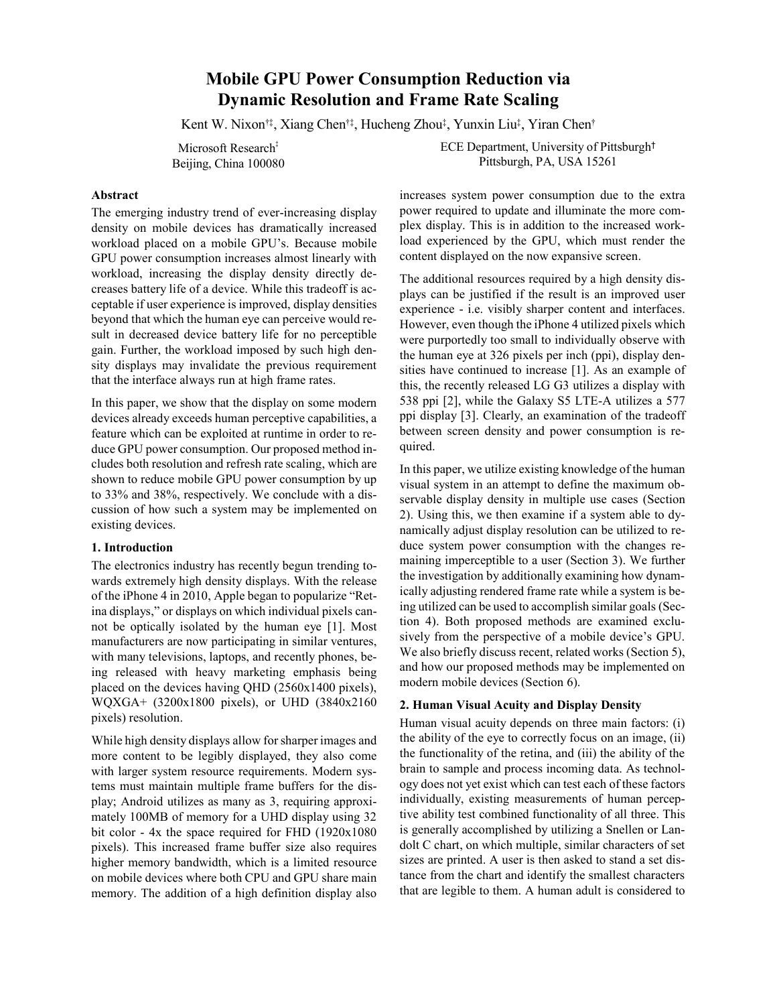# **Mobile GPU Power Consumption Reduction via Dynamic Resolution and Frame Rate Scaling**

Kent W. Nixon†‡ , Xiang Chen†‡ , Hucheng Zhou‡ , Yunxin Liu‡ , Yiran Chen†

Microsoft Research<sup>‡</sup> Beijing, China 100080 ECE Department, University of Pittsburgh† Pittsburgh, PA, USA 15261

## **Abstract**

The emerging industry trend of ever-increasing display density on mobile devices has dramatically increased workload placed on a mobile GPU's. Because mobile GPU power consumption increases almost linearly with workload, increasing the display density directly decreases battery life of a device. While this tradeoff is acceptable if user experience is improved, display densities beyond that which the human eye can perceive would result in decreased device battery life for no perceptible gain. Further, the workload imposed by such high density displays may invalidate the previous requirement that the interface always run at high frame rates.

In this paper, we show that the display on some modern devices already exceeds human perceptive capabilities, a feature which can be exploited at runtime in order to reduce GPU power consumption. Our proposed method includes both resolution and refresh rate scaling, which are shown to reduce mobile GPU power consumption by up to 33% and 38%, respectively. We conclude with a discussion of how such a system may be implemented on existing devices.

## **1. Introduction**

The electronics industry has recently begun trending towards extremely high density displays. With the release of the iPhone 4 in 2010, Apple began to popularize "Retina displays," or displays on which individual pixels cannot be optically isolated by the human eye [1]. Most manufacturers are now participating in similar ventures, with many televisions, laptops, and recently phones, being released with heavy marketing emphasis being placed on the devices having QHD (2560x1400 pixels), WQXGA+ (3200x1800 pixels), or UHD (3840x2160 pixels) resolution.

While high density displays allow for sharper images and more content to be legibly displayed, they also come with larger system resource requirements. Modern systems must maintain multiple frame buffers for the display; Android utilizes as many as 3, requiring approximately 100MB of memory for a UHD display using 32 bit color - 4x the space required for FHD (1920x1080 pixels). This increased frame buffer size also requires higher memory bandwidth, which is a limited resource on mobile devices where both CPU and GPU share main memory. The addition of a high definition display also increases system power consumption due to the extra power required to update and illuminate the more complex display. This is in addition to the increased workload experienced by the GPU, which must render the content displayed on the now expansive screen.

The additional resources required by a high density displays can be justified if the result is an improved user experience - i.e. visibly sharper content and interfaces. However, even though the iPhone 4 utilized pixels which were purportedly too small to individually observe with the human eye at 326 pixels per inch (ppi), display densities have continued to increase [1]. As an example of this, the recently released LG G3 utilizes a display with 538 ppi [2], while the Galaxy S5 LTE-A utilizes a 577 ppi display [3]. Clearly, an examination of the tradeoff between screen density and power consumption is required.

In this paper, we utilize existing knowledge of the human visual system in an attempt to define the maximum observable display density in multiple use cases (Section 2). Using this, we then examine if a system able to dynamically adjust display resolution can be utilized to reduce system power consumption with the changes remaining imperceptible to a user (Section 3). We further the investigation by additionally examining how dynamically adjusting rendered frame rate while a system is being utilized can be used to accomplish similar goals (Section 4). Both proposed methods are examined exclusively from the perspective of a mobile device's GPU. We also briefly discuss recent, related works (Section 5), and how our proposed methods may be implemented on modern mobile devices (Section 6).

## **2. Human Visual Acuity and Display Density**

Human visual acuity depends on three main factors: (i) the ability of the eye to correctly focus on an image, (ii) the functionality of the retina, and (iii) the ability of the brain to sample and process incoming data. As technology does not yet exist which can test each of these factors individually, existing measurements of human perceptive ability test combined functionality of all three. This is generally accomplished by utilizing a Snellen or Landolt C chart, on which multiple, similar characters of set sizes are printed. A user is then asked to stand a set distance from the chart and identify the smallest characters that are legible to them. A human adult is considered to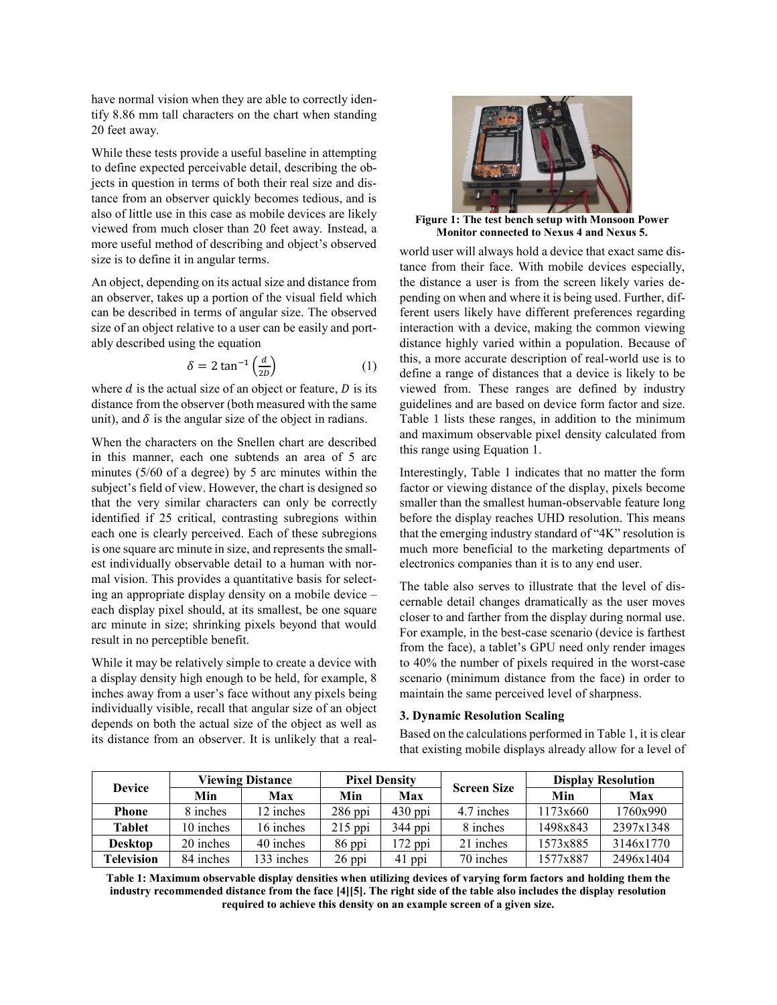have normal vision when they are able to correctly identify 8.86 mm tall characters on the chart when standing 20 feet away.

While these tests provide a useful baseline in attempting to define expected perceivable detail, describing the objects in question in terms of both their real size and distance from an observer quickly becomes tedious, and is also of little use in this case as mobile devices are likely viewed from much closer than 20 feet away. Instead, a more useful method of describing and object's observed size is to define it in angular terms.

An object, depending on its actual size and distance from an observer, takes up a portion of the visual field which can be described in terms of angular size. The observed size of an object relative to a user can be easily and portably described using the equation

$$
\delta = 2 \tan^{-1} \left( \frac{d}{2D} \right) \tag{1}
$$

where  $d$  is the actual size of an object or feature,  $D$  is its distance from the observer (both measured with the same unit), and  $\delta$  is the angular size of the object in radians.

When the characters on the Snellen chart are described in this manner, each one subtends an area of 5 arc minutes (5/60 of a degree) by 5 arc minutes within the subject's field of view. However, the chart is designed so that the very similar characters can only be correctly identified if 25 critical, contrasting subregions within each one is clearly perceived. Each of these subregions is one square arc minute in size, and represents the smallest individually observable detail to a human with normal vision. This provides a quantitative basis for selecting an appropriate display density on a mobile device – each display pixel should, at its smallest, be one square arc minute in size; shrinking pixels beyond that would result in no perceptible benefit.

While it may be relatively simple to create a device with a display density high enough to be held, for example, 8 inches away from a user's face without any pixels being individually visible, recall that angular size of an object depends on both the actual size of the object as well as its distance from an observer. It is unlikely that a real-



**Figure 1: The test bench setup with Monsoon Power Monitor connected to Nexus 4 and Nexus 5.**

world user will always hold a device that exact same distance from their face. With mobile devices especially, the distance a user is from the screen likely varies depending on when and where it is being used. Further, different users likely have different preferences regarding interaction with a device, making the common viewing distance highly varied within a population. Because of this, a more accurate description of real-world use is to define a range of distances that a device is likely to be viewed from. These ranges are defined by industry guidelines and are based on device form factor and size. Table 1 lists these ranges, in addition to the minimum and maximum observable pixel density calculated from this range using Equation 1.

Interestingly, Table 1 indicates that no matter the form factor or viewing distance of the display, pixels become smaller than the smallest human-observable feature long before the display reaches UHD resolution. This means that the emerging industry standard of "4K" resolution is much more beneficial to the marketing departments of electronics companies than it is to any end user.

The table also serves to illustrate that the level of discernable detail changes dramatically as the user moves closer to and farther from the display during normal use. For example, in the best-case scenario (device is farthest from the face), a tablet's GPU need only render images to 40% the number of pixels required in the worst-case scenario (minimum distance from the face) in order to maintain the same perceived level of sharpness.

#### **3. Dynamic Resolution Scaling**

Based on the calculations performed in Table 1, it is clear that existing mobile displays already allow for a level of

| <b>Device</b>  | <b>Viewing Distance</b> |            | <b>Pixel Density</b> |           | <b>Screen Size</b> | <b>Display Resolution</b> |           |
|----------------|-------------------------|------------|----------------------|-----------|--------------------|---------------------------|-----------|
|                | Min                     | Max        | Min                  | Max       |                    | Min                       | Max       |
| <b>Phone</b>   | 8 inches                | 12 inches  | $286$ ppi            | $430$ ppi | 4.7 inches         | 1173x660                  | 1760x990  |
| <b>Tablet</b>  | 10 inches               | 16 inches  | $215$ ppi            | 344 ppi   | 8 inches           | 1498x843                  | 2397x1348 |
| <b>Desktop</b> | 20 inches               | 40 inches  | 86 ppi               | 172 ppi   | 21 inches          | 1573x885                  | 3146x1770 |
| Television     | 84 inches               | 133 inches | 26 ppi               | 41 ppi    | 70 inches          | 1577x887                  | 2496x1404 |

**Table 1: Maximum observable display densities when utilizing devices of varying form factors and holding them the industry recommended distance from the face [4][5]. The right side of the table also includes the display resolution required to achieve this density on an example screen of a given size.**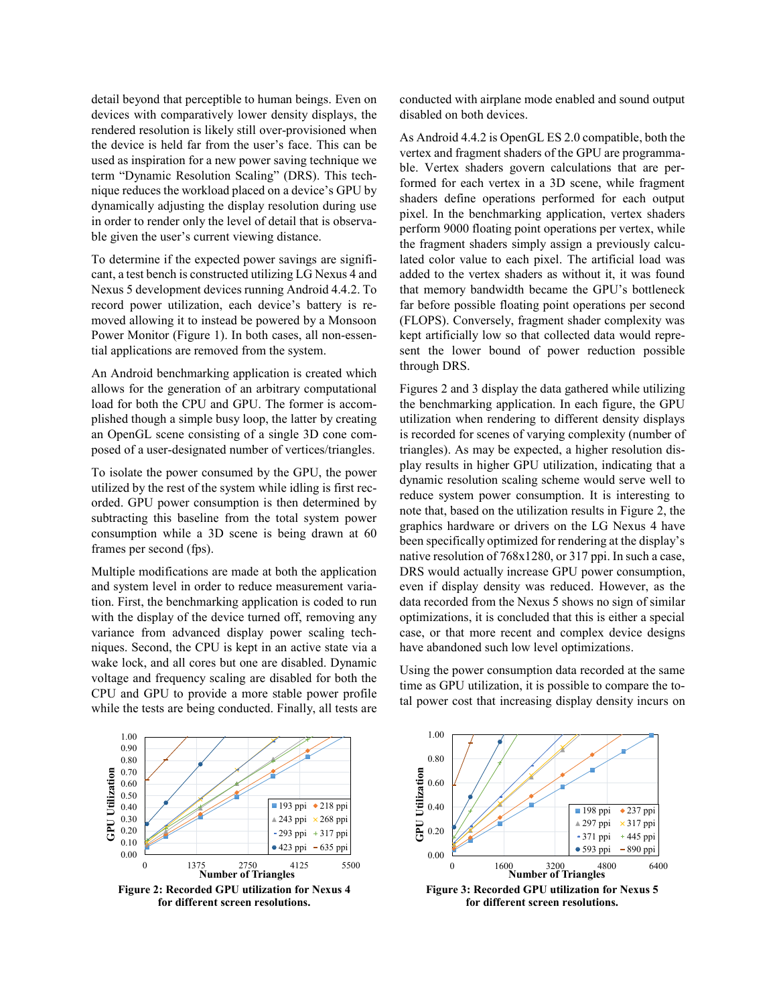detail beyond that perceptible to human beings. Even on devices with comparatively lower density displays, the rendered resolution is likely still over-provisioned when the device is held far from the user's face. This can be used as inspiration for a new power saving technique we term "Dynamic Resolution Scaling" (DRS). This technique reduces the workload placed on a device's GPU by dynamically adjusting the display resolution during use in order to render only the level of detail that is observable given the user's current viewing distance.

To determine if the expected power savings are significant, a test bench is constructed utilizing LG Nexus 4 and Nexus 5 development devices running Android 4.4.2. To record power utilization, each device's battery is removed allowing it to instead be powered by a Monsoon Power Monitor (Figure 1). In both cases, all non-essential applications are removed from the system.

An Android benchmarking application is created which allows for the generation of an arbitrary computational load for both the CPU and GPU. The former is accomplished though a simple busy loop, the latter by creating an OpenGL scene consisting of a single 3D cone composed of a user-designated number of vertices/triangles.

To isolate the power consumed by the GPU, the power utilized by the rest of the system while idling is first recorded. GPU power consumption is then determined by subtracting this baseline from the total system power consumption while a 3D scene is being drawn at 60 frames per second (fps).

Multiple modifications are made at both the application and system level in order to reduce measurement variation. First, the benchmarking application is coded to run with the display of the device turned off, removing any variance from advanced display power scaling techniques. Second, the CPU is kept in an active state via a wake lock, and all cores but one are disabled. Dynamic voltage and frequency scaling are disabled for both the CPU and GPU to provide a more stable power profile while the tests are being conducted. Finally, all tests are conducted with airplane mode enabled and sound output disabled on both devices.

As Android 4.4.2 is OpenGL ES 2.0 compatible, both the vertex and fragment shaders of the GPU are programmable. Vertex shaders govern calculations that are performed for each vertex in a 3D scene, while fragment shaders define operations performed for each output pixel. In the benchmarking application, vertex shaders perform 9000 floating point operations per vertex, while the fragment shaders simply assign a previously calculated color value to each pixel. The artificial load was added to the vertex shaders as without it, it was found that memory bandwidth became the GPU's bottleneck far before possible floating point operations per second (FLOPS). Conversely, fragment shader complexity was kept artificially low so that collected data would represent the lower bound of power reduction possible through DRS.

Figures 2 and 3 display the data gathered while utilizing the benchmarking application. In each figure, the GPU utilization when rendering to different density displays is recorded for scenes of varying complexity (number of triangles). As may be expected, a higher resolution display results in higher GPU utilization, indicating that a dynamic resolution scaling scheme would serve well to reduce system power consumption. It is interesting to note that, based on the utilization results in Figure 2, the graphics hardware or drivers on the LG Nexus 4 have been specifically optimized for rendering at the display's native resolution of 768x1280, or 317 ppi. In such a case, DRS would actually increase GPU power consumption, even if display density was reduced. However, as the data recorded from the Nexus 5 shows no sign of similar optimizations, it is concluded that this is either a special case, or that more recent and complex device designs have abandoned such low level optimizations.

Using the power consumption data recorded at the same time as GPU utilization, it is possible to compare the total power cost that increasing display density incurs on





**Figure 3: Recorded GPU utilization for Nexus 5 for different screen resolutions.**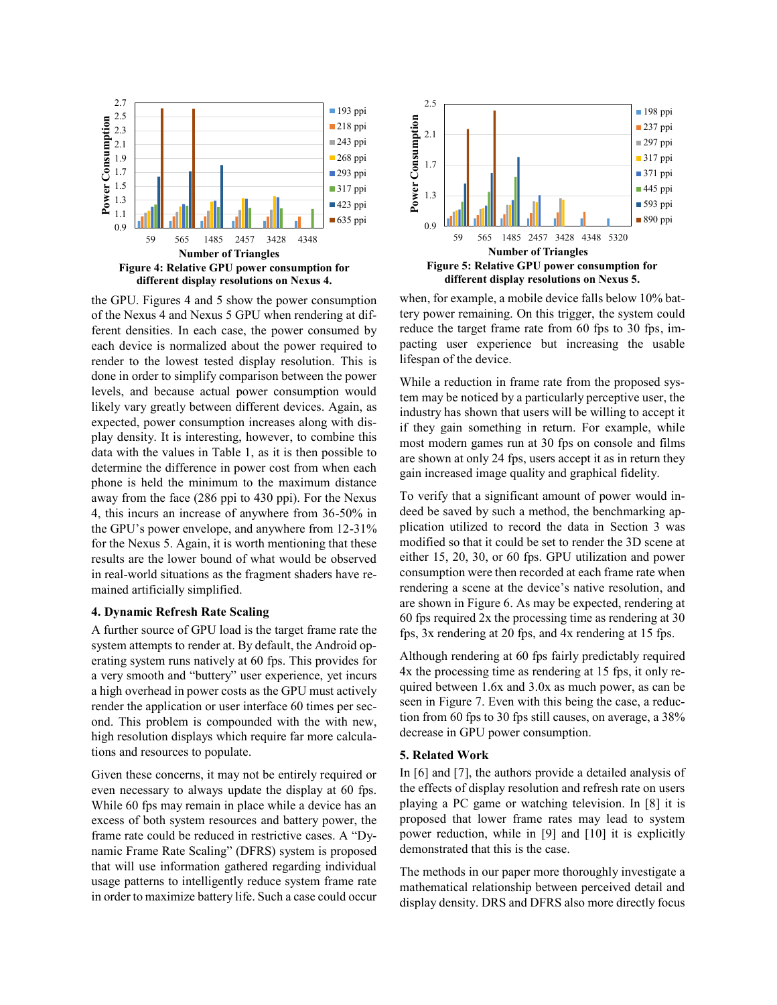

the GPU. Figures 4 and 5 show the power consumption of the Nexus 4 and Nexus 5 GPU when rendering at different densities. In each case, the power consumed by each device is normalized about the power required to render to the lowest tested display resolution. This is done in order to simplify comparison between the power levels, and because actual power consumption would likely vary greatly between different devices. Again, as expected, power consumption increases along with display density. It is interesting, however, to combine this data with the values in Table 1, as it is then possible to determine the difference in power cost from when each phone is held the minimum to the maximum distance away from the face (286 ppi to 430 ppi). For the Nexus 4, this incurs an increase of anywhere from 36-50% in the GPU's power envelope, and anywhere from 12-31% for the Nexus 5. Again, it is worth mentioning that these results are the lower bound of what would be observed in real-world situations as the fragment shaders have remained artificially simplified.

## **4. Dynamic Refresh Rate Scaling**

A further source of GPU load is the target frame rate the system attempts to render at. By default, the Android operating system runs natively at 60 fps. This provides for a very smooth and "buttery" user experience, yet incurs a high overhead in power costs as the GPU must actively render the application or user interface 60 times per second. This problem is compounded with the with new, high resolution displays which require far more calculations and resources to populate.

Given these concerns, it may not be entirely required or even necessary to always update the display at 60 fps. While 60 fps may remain in place while a device has an excess of both system resources and battery power, the frame rate could be reduced in restrictive cases. A "Dynamic Frame Rate Scaling" (DFRS) system is proposed that will use information gathered regarding individual usage patterns to intelligently reduce system frame rate in order to maximize battery life. Such a case could occur



when, for example, a mobile device falls below 10% battery power remaining. On this trigger, the system could reduce the target frame rate from 60 fps to 30 fps, impacting user experience but increasing the usable lifespan of the device.

While a reduction in frame rate from the proposed system may be noticed by a particularly perceptive user, the industry has shown that users will be willing to accept it if they gain something in return. For example, while most modern games run at 30 fps on console and films are shown at only 24 fps, users accept it as in return they gain increased image quality and graphical fidelity.

To verify that a significant amount of power would indeed be saved by such a method, the benchmarking application utilized to record the data in Section 3 was modified so that it could be set to render the 3D scene at either 15, 20, 30, or 60 fps. GPU utilization and power consumption were then recorded at each frame rate when rendering a scene at the device's native resolution, and are shown in Figure 6. As may be expected, rendering at 60 fps required 2x the processing time as rendering at 30 fps, 3x rendering at 20 fps, and 4x rendering at 15 fps.

Although rendering at 60 fps fairly predictably required 4x the processing time as rendering at 15 fps, it only required between 1.6x and 3.0x as much power, as can be seen in Figure 7. Even with this being the case, a reduction from 60 fps to 30 fps still causes, on average, a 38% decrease in GPU power consumption.

#### **5. Related Work**

In [6] and [7], the authors provide a detailed analysis of the effects of display resolution and refresh rate on users playing a PC game or watching television. In [8] it is proposed that lower frame rates may lead to system power reduction, while in [9] and [10] it is explicitly demonstrated that this is the case.

The methods in our paper more thoroughly investigate a mathematical relationship between perceived detail and display density. DRS and DFRS also more directly focus